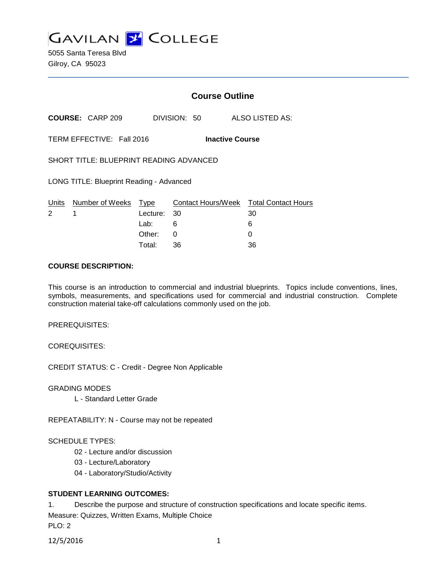

5055 Santa Teresa Blvd Gilroy, CA 95023

# **Course Outline**

**COURSE:** CARP 209 DIVISION: 50 ALSO LISTED AS:

TERM EFFECTIVE: Fall 2016 **Inactive Course**

SHORT TITLE: BLUEPRINT READING ADVANCED

LONG TITLE: Blueprint Reading - Advanced

|             | Units Number of Weeks Type |             | Contact Hours/Week Total Contact Hours |    |
|-------------|----------------------------|-------------|----------------------------------------|----|
| $2 \quad 1$ |                            | Lecture: 30 |                                        | 30 |
|             |                            | Lab: _      | -6                                     | 6  |
|             |                            | Other: 0    |                                        |    |
|             |                            | Total:      | -36                                    | 36 |

#### **COURSE DESCRIPTION:**

This course is an introduction to commercial and industrial blueprints. Topics include conventions, lines, symbols, measurements, and specifications used for commercial and industrial construction. Complete construction material take-off calculations commonly used on the job.

PREREQUISITES:

COREQUISITES:

CREDIT STATUS: C - Credit - Degree Non Applicable

GRADING MODES

L - Standard Letter Grade

REPEATABILITY: N - Course may not be repeated

#### SCHEDULE TYPES:

- 02 Lecture and/or discussion
- 03 Lecture/Laboratory
- 04 Laboratory/Studio/Activity

#### **STUDENT LEARNING OUTCOMES:**

1. Describe the purpose and structure of construction specifications and locate specific items.

Measure: Quizzes, Written Exams, Multiple Choice

PLO: 2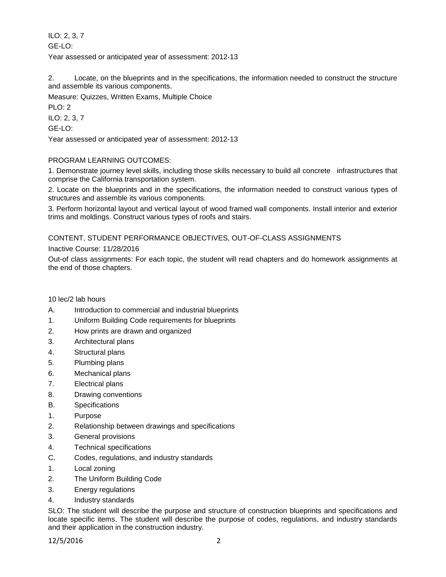ILO: 2, 3, 7 GE-LO: Year assessed or anticipated year of assessment: 2012-13

2. Locate, on the blueprints and in the specifications, the information needed to construct the structure and assemble its various components.

Measure: Quizzes, Written Exams, Multiple Choice

PLO: 2

ILO: 2, 3, 7

GE-LO:

Year assessed or anticipated year of assessment: 2012-13

## PROGRAM LEARNING OUTCOMES:

1. Demonstrate journey level skills, including those skills necessary to build all concrete infrastructures that comprise the California transportation system.

2. Locate on the blueprints and in the specifications, the information needed to construct various types of structures and assemble its various components.

3. Perform horizontal layout and vertical layout of wood framed wall components. Install interior and exterior trims and moldings. Construct various types of roofs and stairs.

## CONTENT, STUDENT PERFORMANCE OBJECTIVES, OUT-OF-CLASS ASSIGNMENTS

## Inactive Course: 11/28/2016

Out-of class assignments: For each topic, the student will read chapters and do homework assignments at the end of those chapters.

10 lec/2 lab hours

- A. Introduction to commercial and industrial blueprints
- 1. Uniform Building Code requirements for blueprints
- 2. How prints are drawn and organized
- 3. Architectural plans
- 4. Structural plans
- 5. Plumbing plans
- 6. Mechanical plans
- 7. Electrical plans
- 8. Drawing conventions
- B. Specifications
- 1. Purpose
- 2. Relationship between drawings and specifications
- 3. General provisions
- 4. Technical specifications
- C. Codes, regulations, and industry standards
- 1. Local zoning
- 2. The Uniform Building Code
- 3. Energy regulations
- 4. Industry standards

SLO: The student will describe the purpose and structure of construction blueprints and specifications and locate specific items. The student will describe the purpose of codes, regulations, and industry standards and their application in the construction industry.

12/5/2016 2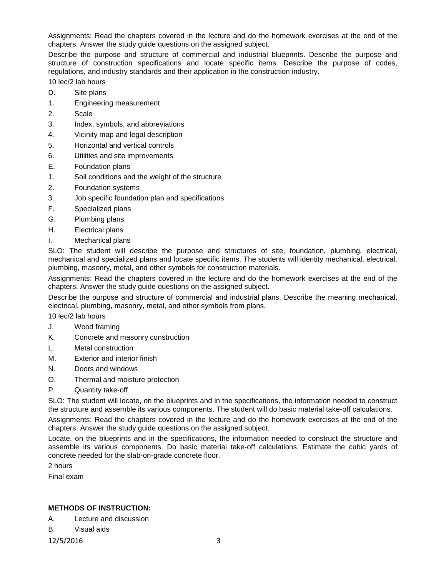Assignments: Read the chapters covered in the lecture and do the homework exercises at the end of the chapters. Answer the study guide questions on the assigned subject.

Describe the purpose and structure of commercial and industrial blueprints. Describe the purpose and structure of construction specifications and locate specific items. Describe the purpose of codes, regulations, and industry standards and their application in the construction industry.

10 lec/2 lab hours

- D. Site plans
- 1. Engineering measurement
- 2. Scale
- 3. Index, symbols, and abbreviations
- 4. Vicinity map and legal description
- 5. Horizontal and vertical controls
- 6. Utilities and site improvements
- E. Foundation plans
- 1. Soil conditions and the weight of the structure
- 2. Foundation systems
- 3. Job specific foundation plan and specifications
- F. Specialized plans
- G. Plumbing plans
- H. Electrical plans
- I. Mechanical plans

SLO: The student will describe the purpose and structures of site, foundation, plumbing, electrical, mechanical and specialized plans and locate specific items. The students will identity mechanical, electrical, plumbing, masonry, metal, and other symbols for construction materials.

Assignments: Read the chapters covered in the lecture and do the homework exercises at the end of the chapters. Answer the study guide questions on the assigned subject.

Describe the purpose and structure of commercial and industrial plans. Describe the meaning mechanical, electrical, plumbing, masonry, metal, and other symbols from plans.

10 lec/2 lab hours

- J. Wood framing
- K. Concrete and masonry construction
- L. Metal construction
- M. Exterior and interior finish
- N. Doors and windows
- O. Thermal and moisture protection
- P. Quantity take-off

SLO: The student will locate, on the blueprints and in the specifications, the information needed to construct the structure and assemble its various components. The student will do basic material take-off calculations.

Assignments: Read the chapters covered in the lecture and do the homework exercises at the end of the chapters. Answer the study guide questions on the assigned subject.

Locate, on the blueprints and in the specifications, the information needed to construct the structure and assemble its various components. Do basic material take-off calculations. Estimate the cubic yards of concrete needed for the slab-on-grade concrete floor.

2 hours

Final exam

## **METHODS OF INSTRUCTION:**

A. Lecture and discussion

B. Visual aids

12/5/2016 3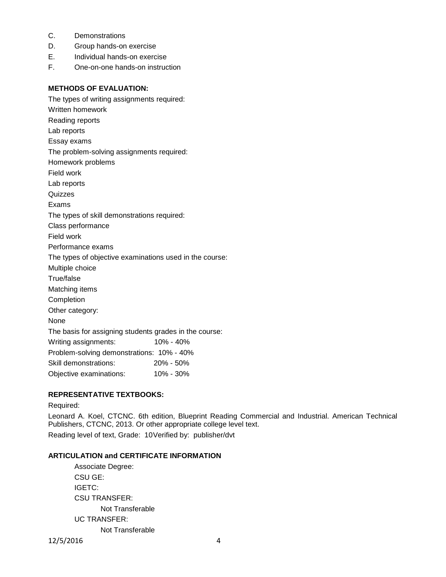- C. Demonstrations
- D. Group hands-on exercise
- E. Individual hands-on exercise
- F. One-on-one hands-on instruction

### **METHODS OF EVALUATION:**

The types of writing assignments required: Written homework Reading reports Lab reports Essay exams The problem-solving assignments required: Homework problems Field work Lab reports **Quizzes** Exams The types of skill demonstrations required: Class performance Field work Performance exams The types of objective examinations used in the course: Multiple choice True/false Matching items Completion Other category: None The basis for assigning students grades in the course: Writing assignments: 10% - 40% Problem-solving demonstrations: 10% - 40% Skill demonstrations: 20% - 50% Objective examinations: 10% - 30%

## **REPRESENTATIVE TEXTBOOKS:**

Required:

Leonard A. Koel, CTCNC. 6th edition, Blueprint Reading Commercial and Industrial. American Technical Publishers, CTCNC, 2013. Or other appropriate college level text. Reading level of text, Grade: 10Verified by: publisher/dvt

#### **ARTICULATION and CERTIFICATE INFORMATION**

Associate Degree: CSU GE: IGETC: CSU TRANSFER: Not Transferable UC TRANSFER: Not Transferable